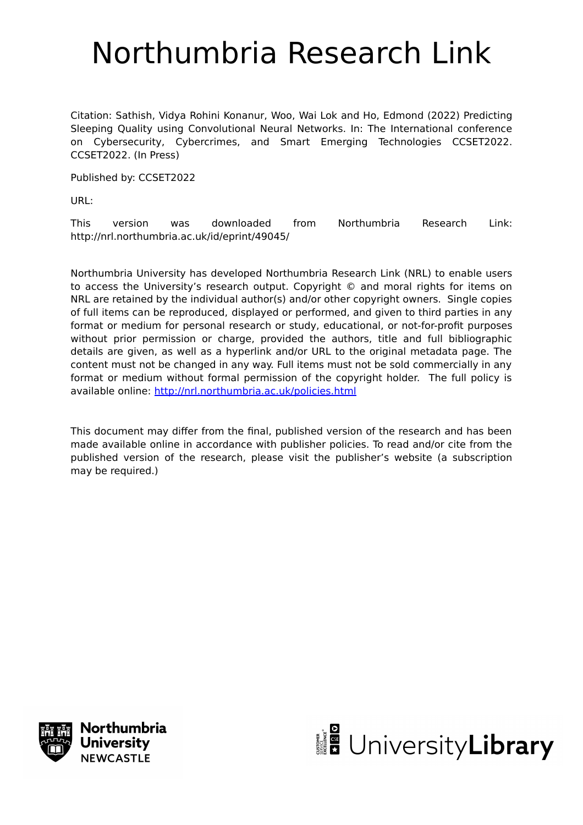# Northumbria Research Link

Citation: Sathish, Vidya Rohini Konanur, Woo, Wai Lok and Ho, Edmond (2022) Predicting Sleeping Quality using Convolutional Neural Networks. In: The International conference on Cybersecurity, Cybercrimes, and Smart Emerging Technologies CCSET2022. CCSET2022. (In Press)

Published by: CCSET2022

URL:

This version was downloaded from Northumbria Research Link: http://nrl.northumbria.ac.uk/id/eprint/49045/

Northumbria University has developed Northumbria Research Link (NRL) to enable users to access the University's research output. Copyright © and moral rights for items on NRL are retained by the individual author(s) and/or other copyright owners. Single copies of full items can be reproduced, displayed or performed, and given to third parties in any format or medium for personal research or study, educational, or not-for-profit purposes without prior permission or charge, provided the authors, title and full bibliographic details are given, as well as a hyperlink and/or URL to the original metadata page. The content must not be changed in any way. Full items must not be sold commercially in any format or medium without formal permission of the copyright holder. The full policy is available online:<http://nrl.northumbria.ac.uk/policies.html>

This document may differ from the final, published version of the research and has been made available online in accordance with publisher policies. To read and/or cite from the published version of the research, please visit the publisher's website (a subscription may be required.)



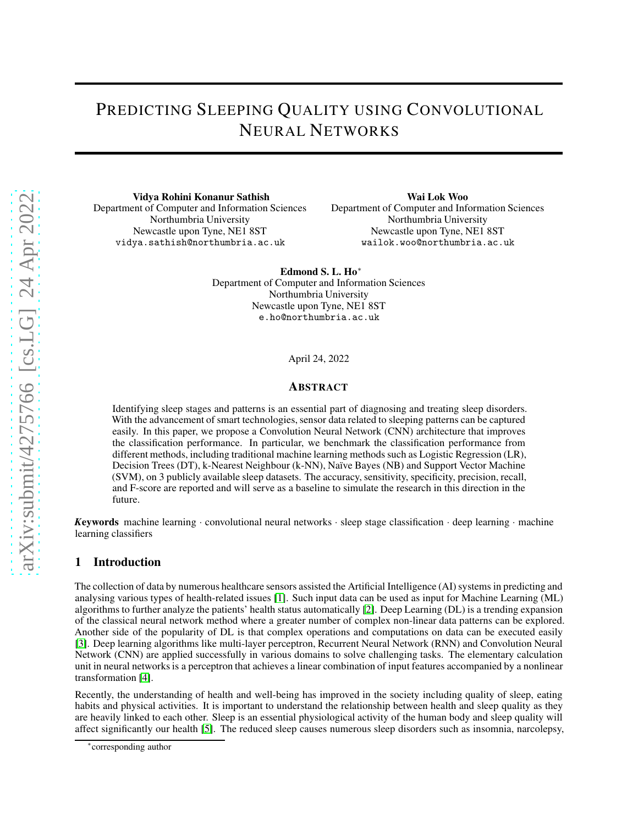# PREDICTING SLEEPING QUALITY USING CONVOLUTIONAL NEURAL NETWORKS

Vidya Rohini Konanur Sathish Department of Computer and Information Sciences Northumbria University Newcastle upon Tyne, NE1 8ST vidya.sathish@northumbria.ac.uk

Wai Lok Woo Department of Computer and Information Sciences Northumbria University Newcastle upon Tyne, NE1 8ST wailok.woo@northumbria.ac.uk

Edmond S. L. Ho<sup>∗</sup>

Department of Computer and Information Sciences Northumbria University Newcastle upon Tyne, NE1 8ST e.ho@northumbria.ac.uk

April 24, 2022

#### ABSTRACT

Identifying sleep stages and patterns is an essential part of diagnosing and treating sleep disorders. With the advancement of smart technologies, sensor data related to sleeping patterns can be captured easily. In this paper, we propose a Convolution Neural Network (CNN) architecture that improves the classification performance. In particular, we benchmark the classification performance from different methods, including traditional machine learning methods such as Logistic Regression (LR), Decision Trees (DT), k-Nearest Neighbour (k-NN), Naïve Bayes (NB) and Support Vector Machine (SVM), on 3 publicly available sleep datasets. The accuracy, sensitivity, specificity, precision, recall, and F-score are reported and will serve as a baseline to simulate the research in this direction in the future.

*Keywords* machine learning · convolutional neural networks · sleep stage classification · deep learning · machine learning classifiers

#### 1 Introduction

The collection of data by numerous healthcare sensors assisted the Artificial Intelligence (AI) systems in predicting and analysing various types of health-related issues [\[1\]](#page-6-0). Such input data can be used as input for Machine Learning (ML) algorithms to further analyze the patients' health status automatically [\[2\]](#page-6-1). Deep Learning (DL) is a trending expansion of the classical neural network method where a greater number of complex non-linear data patterns can be explored. Another side of the popularity of DL is that complex operations and computations on data can be executed easily [\[3\]](#page-6-2). Deep learning algorithms like multi-layer perceptron, Recurrent Neural Network (RNN) and Convolution Neural Network (CNN) are applied successfully in various domains to solve challenging tasks. The elementary calculation unit in neural networks is a perceptron that achieves a linear combination of input features accompanied by a nonlinear transformation [\[4\]](#page-6-3).

Recently, the understanding of health and well-being has improved in the society including quality of sleep, eating habits and physical activities. It is important to understand the relationship between health and sleep quality as they are heavily linked to each other. Sleep is an essential physiological activity of the human body and sleep quality will affect significantly our health [\[5\]](#page-6-4). The reduced sleep causes numerous sleep disorders such as insomnia, narcolepsy,

<sup>∗</sup> corresponding author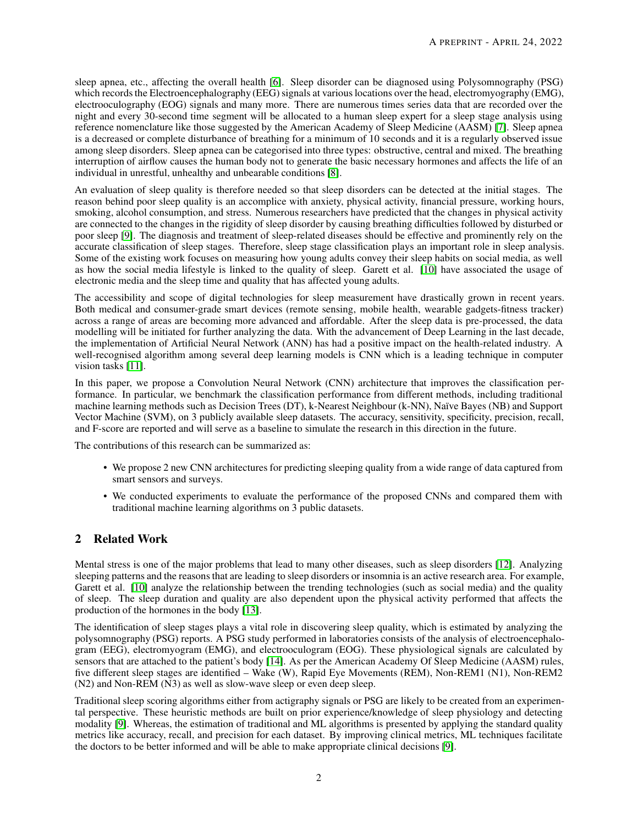sleep apnea, etc., affecting the overall health [\[6\]](#page-6-5). Sleep disorder can be diagnosed using Polysomnography (PSG) which records the Electroencephalography (EEG) signals at various locations over the head, electromyography (EMG), electrooculography (EOG) signals and many more. There are numerous times series data that are recorded over the night and every 30-second time segment will be allocated to a human sleep expert for a sleep stage analysis using reference nomenclature like those suggested by the American Academy of Sleep Medicine (AASM) [\[7\]](#page-6-6). Sleep apnea is a decreased or complete disturbance of breathing for a minimum of 10 seconds and it is a regularly observed issue among sleep disorders. Sleep apnea can be categorised into three types: obstructive, central and mixed. The breathing interruption of airflow causes the human body not to generate the basic necessary hormones and affects the life of an individual in unrestful, unhealthy and unbearable conditions [\[8\]](#page-6-7).

An evaluation of sleep quality is therefore needed so that sleep disorders can be detected at the initial stages. The reason behind poor sleep quality is an accomplice with anxiety, physical activity, financial pressure, working hours, smoking, alcohol consumption, and stress. Numerous researchers have predicted that the changes in physical activity are connected to the changes in the rigidity of sleep disorder by causing breathing difficulties followed by disturbed or poor sleep [\[9\]](#page-6-8). The diagnosis and treatment of sleep-related diseases should be effective and prominently rely on the accurate classification of sleep stages. Therefore, sleep stage classification plays an important role in sleep analysis. Some of the existing work focuses on measuring how young adults convey their sleep habits on social media, as well as how the social media lifestyle is linked to the quality of sleep. Garett et al. [\[10\]](#page-6-9) have associated the usage of electronic media and the sleep time and quality that has affected young adults.

The accessibility and scope of digital technologies for sleep measurement have drastically grown in recent years. Both medical and consumer-grade smart devices (remote sensing, mobile health, wearable gadgets-fitness tracker) across a range of areas are becoming more advanced and affordable. After the sleep data is pre-processed, the data modelling will be initiated for further analyzing the data. With the advancement of Deep Learning in the last decade, the implementation of Artificial Neural Network (ANN) has had a positive impact on the health-related industry. A well-recognised algorithm among several deep learning models is CNN which is a leading technique in computer vision tasks [\[11\]](#page-6-10).

In this paper, we propose a Convolution Neural Network (CNN) architecture that improves the classification performance. In particular, we benchmark the classification performance from different methods, including traditional machine learning methods such as Decision Trees (DT), k-Nearest Neighbour (k-NN), Naïve Bayes (NB) and Support Vector Machine (SVM), on 3 publicly available sleep datasets. The accuracy, sensitivity, specificity, precision, recall, and F-score are reported and will serve as a baseline to simulate the research in this direction in the future.

The contributions of this research can be summarized as:

- We propose 2 new CNN architectures for predicting sleeping quality from a wide range of data captured from smart sensors and surveys.
- We conducted experiments to evaluate the performance of the proposed CNNs and compared them with traditional machine learning algorithms on 3 public datasets.

# 2 Related Work

Mental stress is one of the major problems that lead to many other diseases, such as sleep disorders [\[12\]](#page-6-11). Analyzing sleeping patterns and the reasons that are leading to sleep disorders or insomnia is an active research area. For example, Garett et al. [\[10\]](#page-6-9) analyze the relationship between the trending technologies (such as social media) and the quality of sleep. The sleep duration and quality are also dependent upon the physical activity performed that affects the production of the hormones in the body [\[13\]](#page-6-12).

The identification of sleep stages plays a vital role in discovering sleep quality, which is estimated by analyzing the polysomnography (PSG) reports. A PSG study performed in laboratories consists of the analysis of electroencephalogram (EEG), electromyogram (EMG), and electrooculogram (EOG). These physiological signals are calculated by sensors that are attached to the patient's body [\[14\]](#page-6-13). As per the American Academy Of Sleep Medicine (AASM) rules, five different sleep stages are identified – Wake (W), Rapid Eye Movements (REM), Non-REM1 (N1), Non-REM2 (N2) and Non-REM (N3) as well as slow-wave sleep or even deep sleep.

Traditional sleep scoring algorithms either from actigraphy signals or PSG are likely to be created from an experimental perspective. These heuristic methods are built on prior experience/knowledge of sleep physiology and detecting modality [\[9\]](#page-6-8). Whereas, the estimation of traditional and ML algorithms is presented by applying the standard quality metrics like accuracy, recall, and precision for each dataset. By improving clinical metrics, ML techniques facilitate the doctors to be better informed and will be able to make appropriate clinical decisions [\[9\]](#page-6-8).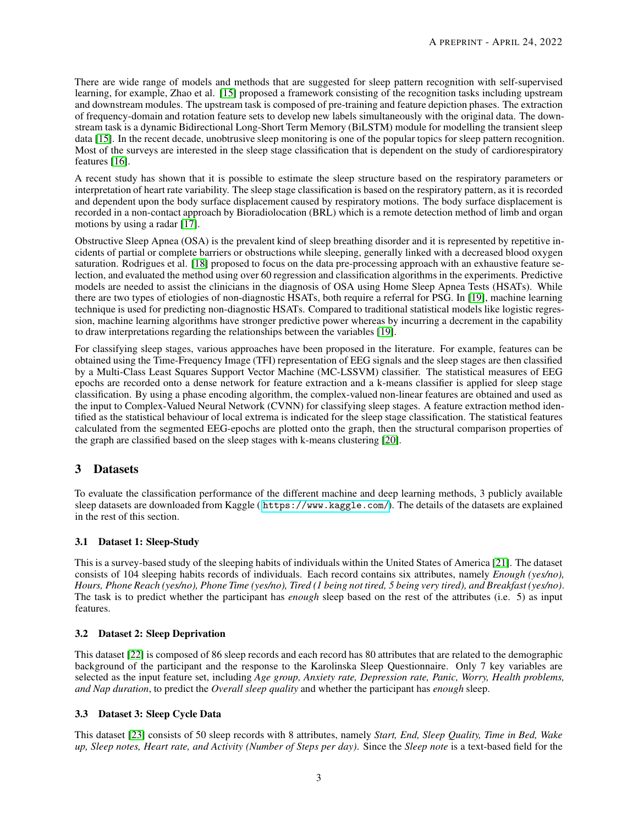There are wide range of models and methods that are suggested for sleep pattern recognition with self-supervised learning, for example, Zhao et al. [\[15\]](#page-6-14) proposed a framework consisting of the recognition tasks including upstream and downstream modules. The upstream task is composed of pre-training and feature depiction phases. The extraction of frequency-domain and rotation feature sets to develop new labels simultaneously with the original data. The downstream task is a dynamic Bidirectional Long-Short Term Memory (BiLSTM) module for modelling the transient sleep data [\[15\]](#page-6-14). In the recent decade, unobtrusive sleep monitoring is one of the popular topics for sleep pattern recognition. Most of the surveys are interested in the sleep stage classification that is dependent on the study of cardiorespiratory features [\[16\]](#page-7-0).

A recent study has shown that it is possible to estimate the sleep structure based on the respiratory parameters or interpretation of heart rate variability. The sleep stage classification is based on the respiratory pattern, as it is recorded and dependent upon the body surface displacement caused by respiratory motions. The body surface displacement is recorded in a non-contact approach by Bioradiolocation (BRL) which is a remote detection method of limb and organ motions by using a radar [\[17\]](#page-7-1).

Obstructive Sleep Apnea (OSA) is the prevalent kind of sleep breathing disorder and it is represented by repetitive incidents of partial or complete barriers or obstructions while sleeping, generally linked with a decreased blood oxygen saturation. Rodrigues et al. [\[18\]](#page-7-2) proposed to focus on the data pre-processing approach with an exhaustive feature selection, and evaluated the method using over 60 regression and classification algorithms in the experiments. Predictive models are needed to assist the clinicians in the diagnosis of OSA using Home Sleep Apnea Tests (HSATs). While there are two types of etiologies of non-diagnostic HSATs, both require a referral for PSG. In [\[19\]](#page-7-3), machine learning technique is used for predicting non-diagnostic HSATs. Compared to traditional statistical models like logistic regression, machine learning algorithms have stronger predictive power whereas by incurring a decrement in the capability to draw interpretations regarding the relationships between the variables [\[19\]](#page-7-3).

For classifying sleep stages, various approaches have been proposed in the literature. For example, features can be obtained using the Time-Frequency Image (TFI) representation of EEG signals and the sleep stages are then classified by a Multi-Class Least Squares Support Vector Machine (MC-LSSVM) classifier. The statistical measures of EEG epochs are recorded onto a dense network for feature extraction and a k-means classifier is applied for sleep stage classification. By using a phase encoding algorithm, the complex-valued non-linear features are obtained and used as the input to Complex-Valued Neural Network (CVNN) for classifying sleep stages. A feature extraction method identified as the statistical behaviour of local extrema is indicated for the sleep stage classification. The statistical features calculated from the segmented EEG-epochs are plotted onto the graph, then the structural comparison properties of the graph are classified based on the sleep stages with k-means clustering [\[20\]](#page-7-4).

# 3 Datasets

To evaluate the classification performance of the different machine and deep learning methods, 3 publicly available sleep datasets are downloaded from Kaggle ( <https://www.kaggle.com/>). The details of the datasets are explained in the rest of this section.

# 3.1 Dataset 1: Sleep-Study

This is a survey-based study of the sleeping habits of individuals within the United States of America [\[21\]](#page-7-5). The dataset consists of 104 sleeping habits records of individuals. Each record contains six attributes, namely *Enough (yes/no), Hours, Phone Reach (yes/no), Phone Time (yes/no), Tired (1 being not tired, 5 being very tired), and Breakfast (yes/no)*. The task is to predict whether the participant has *enough* sleep based on the rest of the attributes (i.e. 5) as input features.

# 3.2 Dataset 2: Sleep Deprivation

This dataset [\[22\]](#page-7-6) is composed of 86 sleep records and each record has 80 attributes that are related to the demographic background of the participant and the response to the Karolinska Sleep Questionnaire. Only 7 key variables are selected as the input feature set, including *Age group, Anxiety rate, Depression rate, Panic, Worry, Health problems, and Nap duration*, to predict the *Overall sleep quality* and whether the participant has *enough* sleep.

# 3.3 Dataset 3: Sleep Cycle Data

This dataset [\[23\]](#page-7-7) consists of 50 sleep records with 8 attributes, namely *Start, End, Sleep Quality, Time in Bed, Wake up, Sleep notes, Heart rate, and Activity (Number of Steps per day)*. Since the *Sleep note* is a text-based field for the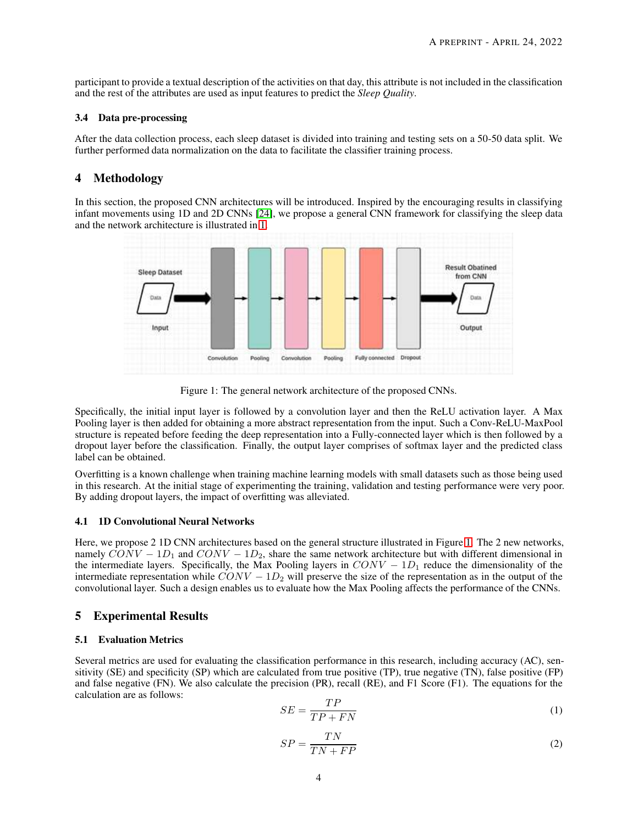participant to provide a textual description of the activities on that day, this attribute is not included in the classification and the rest of the attributes are used as input features to predict the *Sleep Quality*.

#### 3.4 Data pre-processing

After the data collection process, each sleep dataset is divided into training and testing sets on a 50-50 data split. We further performed data normalization on the data to facilitate the classifier training process.

# 4 Methodology

In this section, the proposed CNN architectures will be introduced. Inspired by the encouraging results in classifying infant movements using 1D and 2D CNNs [\[24\]](#page-7-8), we propose a general CNN framework for classifying the sleep data and the network architecture is illustrated in [1.](#page-4-0)



<span id="page-4-0"></span>Figure 1: The general network architecture of the proposed CNNs.

Specifically, the initial input layer is followed by a convolution layer and then the ReLU activation layer. A Max Pooling layer is then added for obtaining a more abstract representation from the input. Such a Conv-ReLU-MaxPool structure is repeated before feeding the deep representation into a Fully-connected layer which is then followed by a dropout layer before the classification. Finally, the output layer comprises of softmax layer and the predicted class label can be obtained.

Overfitting is a known challenge when training machine learning models with small datasets such as those being used in this research. At the initial stage of experimenting the training, validation and testing performance were very poor. By adding dropout layers, the impact of overfitting was alleviated.

#### 4.1 1D Convolutional Neural Networks

Here, we propose 2 1D CNN architectures based on the general structure illustrated in Figure [1.](#page-4-0) The 2 new networks, namely  $CONV - 1D_1$  and  $CONV - 1D_2$ , share the same network architecture but with different dimensional in the intermediate layers. Specifically, the Max Pooling layers in  $CONV - 1D_1$  reduce the dimensionality of the intermediate representation while  $CONV - 1D<sub>2</sub>$  will preserve the size of the representation as in the output of the convolutional layer. Such a design enables us to evaluate how the Max Pooling affects the performance of the CNNs.

# <span id="page-4-1"></span>5 Experimental Results

#### 5.1 Evaluation Metrics

Several metrics are used for evaluating the classification performance in this research, including accuracy (AC), sensitivity (SE) and specificity (SP) which are calculated from true positive (TP), true negative (TN), false positive (FP) and false negative (FN). We also calculate the precision (PR), recall (RE), and F1 Score (F1). The equations for the calculation are as follows:

$$
SE = \frac{TP}{TP + FN} \tag{1}
$$

$$
SP = \frac{TN}{TN + FP}
$$
 (2)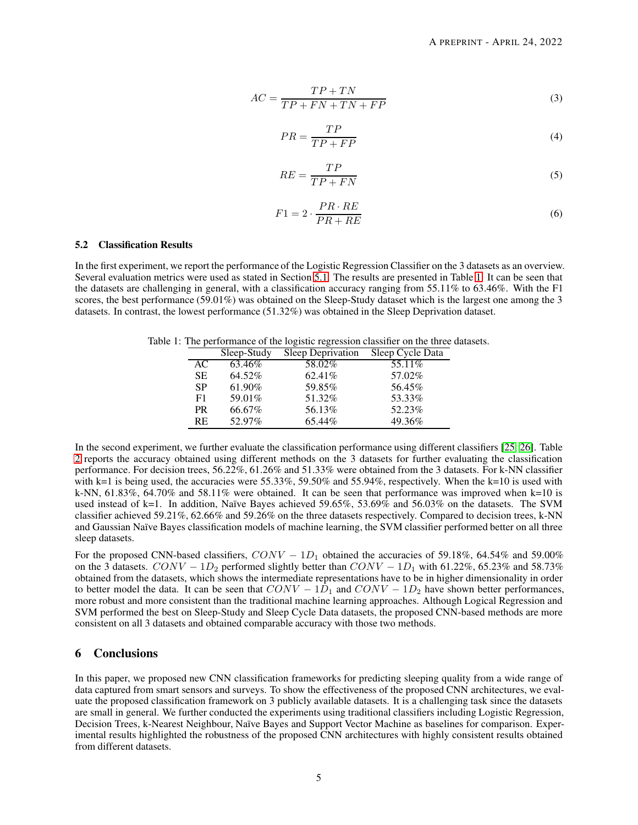$$
AC = \frac{TP + TN}{TP + FN + TN + FP}
$$
\n(3)

$$
PR = \frac{TP}{TP + FP}
$$
\n<sup>(4)</sup>

$$
RE = \frac{TP}{TP + FN} \tag{5}
$$

$$
F1 = 2 \cdot \frac{PR \cdot RE}{PR + RE} \tag{6}
$$

#### 5.2 Classification Results

In the first experiment, we report the performance of the Logistic Regression Classifier on the 3 datasets as an overview. Several evaluation metrics were used as stated in Section [5.1.](#page-4-1) The results are presented in Table [1.](#page-5-0) It can be seen that the datasets are challenging in general, with a classification accuracy ranging from 55.11% to 63.46%. With the F1 scores, the best performance (59.01%) was obtained on the Sleep-Study dataset which is the largest one among the 3 datasets. In contrast, the lowest performance (51.32%) was obtained in the Sleep Deprivation dataset.

Table 1: The performance of the logistic regression classifier on the three datasets.

<span id="page-5-0"></span>

|           | Sleep-Study | <b>Sleep Deprivation</b> | Sleep Cycle Data |
|-----------|-------------|--------------------------|------------------|
| AC.       | 63.46%      | 58.02%                   | 55.11\%          |
| <b>SE</b> | 64.52%      | 62.41%                   | 57.02%           |
| <b>SP</b> | 61.90%      | 59.85%                   | 56.45%           |
| F1        | 59.01%      | 51.32%                   | 53.33%           |
| <b>PR</b> | 66.67%      | 56.13%                   | 52.23%           |
| <b>RE</b> | 52.97%      | 65.44%                   | 49.36%           |

In the second experiment, we further evaluate the classification performance using different classifiers [\[25,](#page-7-9) [26\]](#page-7-10). Table [2](#page-6-15) reports the accuracy obtained using different methods on the 3 datasets for further evaluating the classification performance. For decision trees, 56.22%, 61.26% and 51.33% were obtained from the 3 datasets. For k-NN classifier with k=1 is being used, the accuracies were 55.33%, 59.50% and 55.94%, respectively. When the k=10 is used with k-NN, 61.83%, 64.70% and 58.11% were obtained. It can be seen that performance was improved when k=10 is used instead of k=1. In addition, Naïve Bayes achieved 59.65%, 53.69% and 56.03% on the datasets. The SVM classifier achieved 59.21%, 62.66% and 59.26% on the three datasets respectively. Compared to decision trees, k-NN and Gaussian Naïve Bayes classification models of machine learning, the SVM classifier performed better on all three sleep datasets.

For the proposed CNN-based classifiers,  $CONV - 1D_1$  obtained the accuracies of 59.18%, 64.54% and 59.00% on the 3 datasets.  $CONV - 1D_2$  performed slightly better than  $CONV - 1D_1$  with 61.22%, 65.23% and 58.73% obtained from the datasets, which shows the intermediate representations have to be in higher dimensionality in order to better model the data. It can be seen that  $CONV - 1D_1$  and  $CONV - 1D_2$  have shown better performances, more robust and more consistent than the traditional machine learning approaches. Although Logical Regression and SVM performed the best on Sleep-Study and Sleep Cycle Data datasets, the proposed CNN-based methods are more consistent on all 3 datasets and obtained comparable accuracy with those two methods.

#### 6 Conclusions

In this paper, we proposed new CNN classification frameworks for predicting sleeping quality from a wide range of data captured from smart sensors and surveys. To show the effectiveness of the proposed CNN architectures, we evaluate the proposed classification framework on 3 publicly available datasets. It is a challenging task since the datasets are small in general. We further conducted the experiments using traditional classifiers including Logistic Regression, Decision Trees, k-Nearest Neighbour, Naïve Bayes and Support Vector Machine as baselines for comparison. Experimental results highlighted the robustness of the proposed CNN architectures with highly consistent results obtained from different datasets.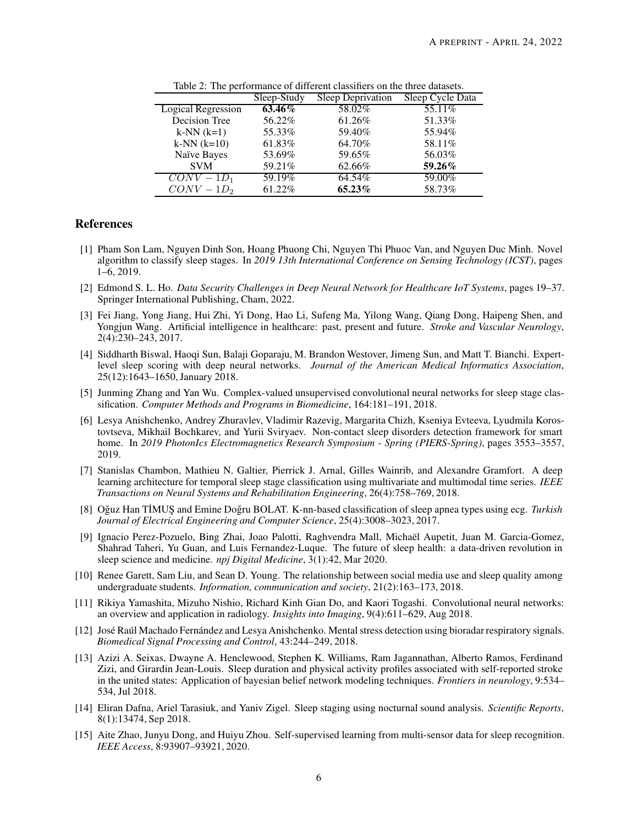|                    | Sleep-Study | <b>Sleep Deprivation</b> | Sleep Cycle Data |
|--------------------|-------------|--------------------------|------------------|
| Logical Regression | 63.46%      | 58.02%                   | 55.11%           |
| Decision Tree      | 56.22%      | 61.26%                   | 51.33%           |
| $k-NN (k=1)$       | 55.33%      | 59.40%                   | 55.94%           |
| $k-NN (k=10)$      | 61.83%      | 64.70%                   | 58.11%           |
| Naïve Bayes        | 53.69%      | 59.65%                   | 56.03%           |
| <b>SVM</b>         | 59.21%      | 62.66%                   | 59.26%           |
| $CONV - 1D_1$      | 59.19%      | 64.54%                   | 59.00%           |
| $CONV - 1D_2$      | 61.22%      | 65.23%                   | 58.73%           |

<span id="page-6-15"></span>Table 2: The performance of different classifiers on the three datasets.

# <span id="page-6-0"></span>References

- [1] Pham Son Lam, Nguyen Dinh Son, Hoang Phuong Chi, Nguyen Thi Phuoc Van, and Nguyen Duc Minh. Novel algorithm to classify sleep stages. In *2019 13th International Conference on Sensing Technology (ICST)*, pages 1–6, 2019.
- <span id="page-6-1"></span>[2] Edmond S. L. Ho. *Data Security Challenges in Deep Neural Network for Healthcare IoT Systems*, pages 19–37. Springer International Publishing, Cham, 2022.
- <span id="page-6-2"></span>[3] Fei Jiang, Yong Jiang, Hui Zhi, Yi Dong, Hao Li, Sufeng Ma, Yilong Wang, Qiang Dong, Haipeng Shen, and Yongjun Wang. Artificial intelligence in healthcare: past, present and future. *Stroke and Vascular Neurology*, 2(4):230–243, 2017.
- <span id="page-6-3"></span>[4] Siddharth Biswal, Haoqi Sun, Balaji Goparaju, M. Brandon Westover, Jimeng Sun, and Matt T. Bianchi. Expertlevel sleep scoring with deep neural networks. *Journal of the American Medical Informatics Association*, 25(12):1643–1650, January 2018.
- <span id="page-6-4"></span>[5] Junming Zhang and Yan Wu. Complex-valued unsupervised convolutional neural networks for sleep stage classification. *Computer Methods and Programs in Biomedicine*, 164:181–191, 2018.
- <span id="page-6-5"></span>[6] Lesya Anishchenko, Andrey Zhuravlev, Vladimir Razevig, Margarita Chizh, Kseniya Evteeva, Lyudmila Korostovtseva, Mikhail Bochkarev, and Yurii Sviryaev. Non-contact sleep disorders detection framework for smart home. In *2019 PhotonIcs Electromagnetics Research Symposium - Spring (PIERS-Spring)*, pages 3553–3557, 2019.
- <span id="page-6-6"></span>[7] Stanislas Chambon, Mathieu N. Galtier, Pierrick J. Arnal, Gilles Wainrib, and Alexandre Gramfort. A deep learning architecture for temporal sleep stage classification using multivariate and multimodal time series. *IEEE Transactions on Neural Systems and Rehabilitation Engineering*, 26(4):758–769, 2018.
- <span id="page-6-7"></span>[8] Oğuz Han TİMUŞ and Emine Doğru BOLAT. K-nn-based classification of sleep apnea types using ecg. Turkish *Journal of Electrical Engineering and Computer Science*, 25(4):3008–3023, 2017.
- <span id="page-6-8"></span>[9] Ignacio Perez-Pozuelo, Bing Zhai, Joao Palotti, Raghvendra Mall, Michaël Aupetit, Juan M. Garcia-Gomez, Shahrad Taheri, Yu Guan, and Luis Fernandez-Luque. The future of sleep health: a data-driven revolution in sleep science and medicine. *npj Digital Medicine*, 3(1):42, Mar 2020.
- <span id="page-6-9"></span>[10] Renee Garett, Sam Liu, and Sean D. Young. The relationship between social media use and sleep quality among undergraduate students. *Information, communication and society*, 21(2):163–173, 2018.
- <span id="page-6-10"></span>[11] Rikiya Yamashita, Mizuho Nishio, Richard Kinh Gian Do, and Kaori Togashi. Convolutional neural networks: an overview and application in radiology. *Insights into Imaging*, 9(4):611–629, Aug 2018.
- <span id="page-6-11"></span>[12] José Raúl Machado Fernández and Lesya Anishchenko. Mental stress detection using bioradar respiratory signals. *Biomedical Signal Processing and Control*, 43:244–249, 2018.
- <span id="page-6-12"></span>[13] Azizi A. Seixas, Dwayne A. Henclewood, Stephen K. Williams, Ram Jagannathan, Alberto Ramos, Ferdinand Zizi, and Girardin Jean-Louis. Sleep duration and physical activity profiles associated with self-reported stroke in the united states: Application of bayesian belief network modeling techniques. *Frontiers in neurology*, 9:534– 534, Jul 2018.
- <span id="page-6-13"></span>[14] Eliran Dafna, Ariel Tarasiuk, and Yaniv Zigel. Sleep staging using nocturnal sound analysis. *Scientific Reports*, 8(1):13474, Sep 2018.
- <span id="page-6-14"></span>[15] Aite Zhao, Junyu Dong, and Huiyu Zhou. Self-supervised learning from multi-sensor data for sleep recognition. *IEEE Access*, 8:93907–93921, 2020.